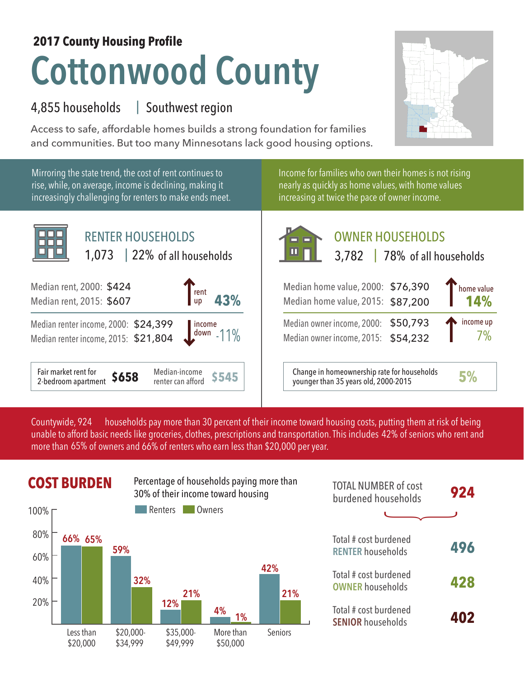## **Cottonwood County 2017 County Housing Profile**

## 4,855 households Southwest region |

Access to safe, affordable homes builds a strong foundation for families and communities. But too many Minnesotans lack good housing options.



Mirroring the state trend, the cost of rent continues to rise, while, on average, income is declining, making it increasingly challenging for renters to make ends meet.



Income for families who own their homes is not rising nearly as quickly as home values, with home values increasing at twice the pace of owner income.



Median owner income, 2015: \$54,232

**\$545** Change in homeownership rate for households younger than 35 years old, 2000-2015 **5%**

7%

households pay more than 30 percent of their income toward housing costs, putting them at risk of being unable to afford basic needs like groceries, clothes, prescriptions and transportation. This includes 42% of seniors who rent and more than 65% of owners and 66% of renters who earn less than \$20,000 per year. Countywide, 924



|               | <b>COST BURDEN</b>  |     |                                  |         | Percentage of households paying more than<br>30% of their income toward housing |            | <b>TOTAL NUMBER of cost</b><br>burdened households | 924 |
|---------------|---------------------|-----|----------------------------------|---------|---------------------------------------------------------------------------------|------------|----------------------------------------------------|-----|
| 100% $\Gamma$ |                     |     | Renters                          |         | Owners                                                                          |            |                                                    |     |
| 80%<br>60%    | 66% 65%             | 59% |                                  |         |                                                                                 |            | Total # cost burdened<br><b>RENTER households</b>  | 496 |
| 40%           |                     |     | 32%                              | 21%     |                                                                                 | 42%<br>21% | Total # cost burdened<br><b>OWNER households</b>   | 428 |
| 20%           | \$20000<br>acs than | 12% | 4%<br>1%<br>\$3500.<br>More than | Saniors | Total # cost burdened<br><b>SENIOR households</b>                               | 402        |                                                    |     |